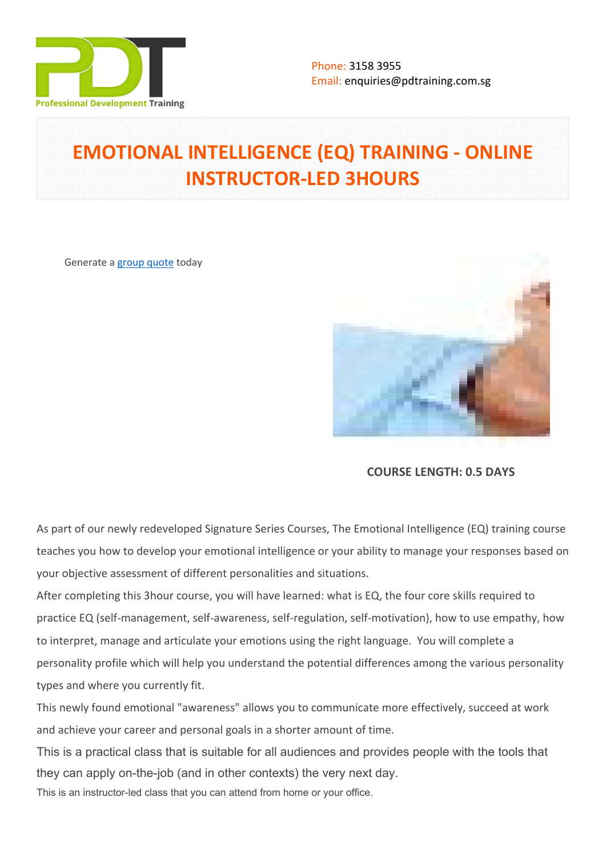

# **EMOTIONAL INTELLIGENCE (EQ) TRAINING - ONLINE INSTRUCTOR-LED 3HOURS**

Generate a [group quote](https://pdtraining.com.sg/inhouse-training-quote?cse=PDTE4245_C) today



**COURSE LENGTH: 0.5 DAYS**

As part of our newly redeveloped Signature Series Courses, The Emotional Intelligence (EQ) training course teaches you how to develop your emotional intelligence or your ability to manage your responses based on your objective assessment of different personalities and situations.

After completing this 3hour course, you will have learned: what is EQ, the four core skills required to practice EQ (self-management, self-awareness, self-regulation, self-motivation), how to use empathy, how to interpret, manage and articulate your emotions using the right language. You will complete a personality profile which will help you understand the potential differences among the various personality types and where you currently fit.

This newly found emotional "awareness" allows you to communicate more effectively, succeed at work and achieve your career and personal goals in a shorter amount of time.

This is a practical class that is suitable for all audiences and provides people with the tools that they can apply on-the-job (and in other contexts) the very next day.

This is an instructor-led class that you can attend from home or your office.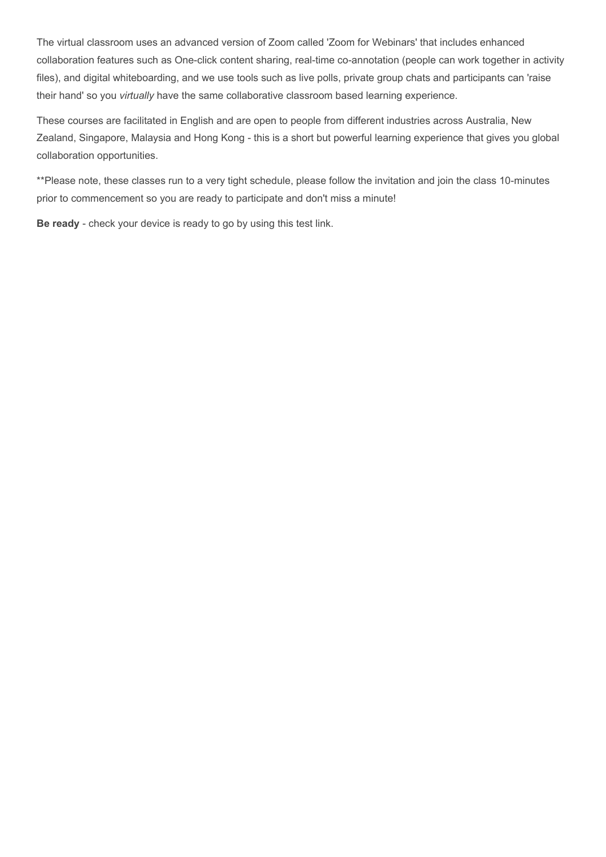The virtual classroom uses an advanced version of Zoom called 'Zoom for Webinars' that includes enhanced collaboration features such as One-click content sharing, real-time co-annotation (people can work together in activity files), and digital whiteboarding, and we use tools such as live polls, private group chats and participants can 'raise their hand' so you *virtually* have the same collaborative classroom based learning experience.

These courses are facilitated in English and are open to people from different industries across Australia, New Zealand, Singapore, Malaysia and Hong Kong - this is a short but powerful learning experience that gives you global collaboration opportunities.

\*\*Please note, these classes run to a very tight schedule, please follow the invitation and join the class 10-minutes prior to commencement so you are ready to participate and don't miss a minute!

**Be ready** - check your device is ready to go by using this [test link](https://zoom.us/test).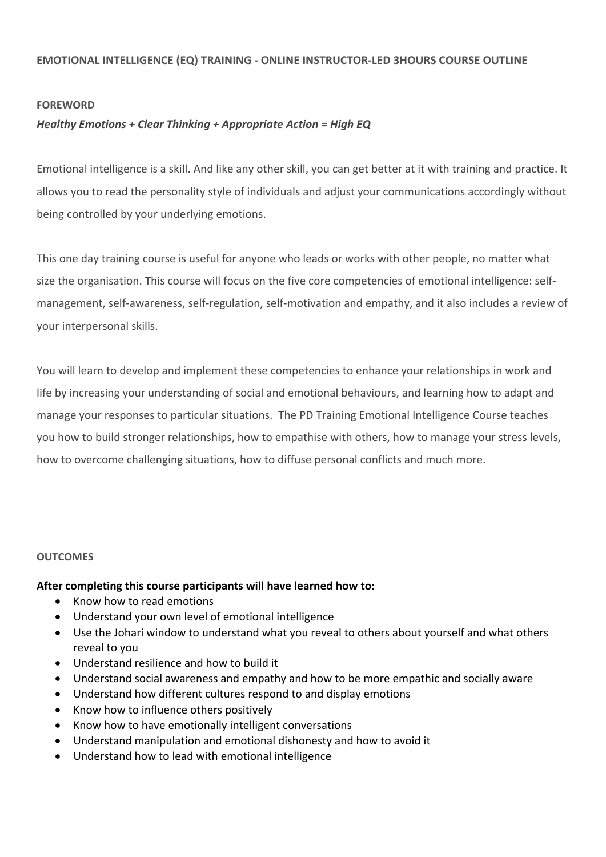## **FOREWORD**

# *Healthy Emotions + Clear Thinking + Appropriate Action = High EQ*

Emotional intelligence is a skill. And like any other skill, you can get better at it with training and practice. It allows you to read the personality style of individuals and adjust your communications accordingly without being controlled by your underlying emotions.

This one day training course is useful for anyone who leads or works with other people, no matter what size the organisation. This course will focus on the five core competencies of emotional intelligence: selfmanagement, self-awareness, self-regulation, self-motivation and empathy, and it also includes a review of your interpersonal skills.

You will learn to develop and implement these competencies to enhance your relationships in work and life by increasing your understanding of social and emotional behaviours, and learning how to adapt and manage your responses to particular situations. The PD Training Emotional Intelligence Course teaches you how to build stronger relationships, how to empathise with others, how to manage your stress levels, how to overcome challenging situations, how to diffuse personal conflicts and much more.

## **OUTCOMES**

## **After completing this course participants will have learned how to:**

- Know how to read emotions
- Understand your own level of emotional intelligence
- Use the Johari window to understand what you reveal to others about yourself and what others reveal to you
- Understand resilience and how to build it
- Understand social awareness and empathy and how to be more empathic and socially aware
- Understand how different cultures respond to and display emotions
- Know how to influence others positively
- Know how to have emotionally intelligent conversations
- Understand manipulation and emotional dishonesty and how to avoid it
- Understand how to lead with emotional intelligence